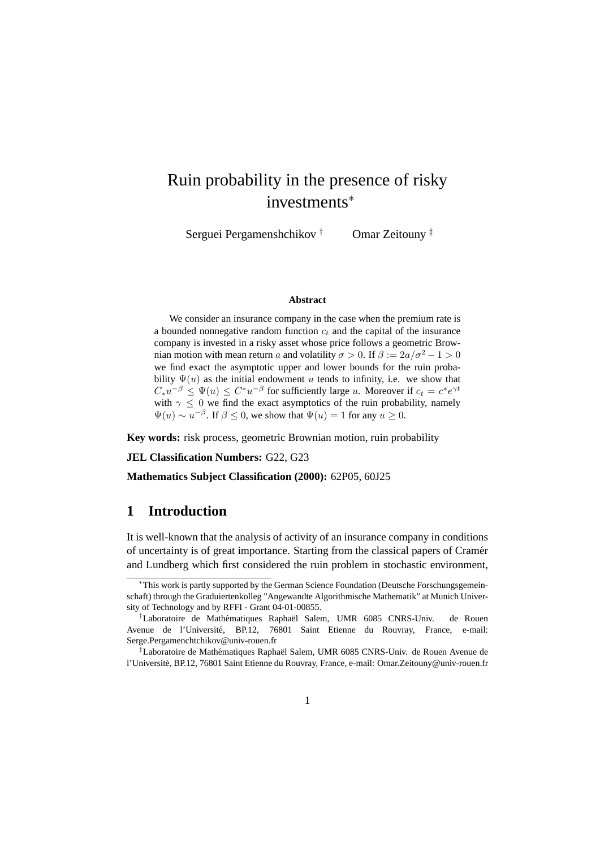# Ruin probability in the presence of risky investments<sup>∗</sup>

Serguei Pergamenshchikov † Omar Zeitouny ‡

#### **Abstract**

We consider an insurance company in the case when the premium rate is a bounded nonnegative random function  $c_t$  and the capital of the insurance company is invested in a risky asset whose price follows a geometric Brownian motion with mean return a and volatility  $\sigma > 0$ . If  $\beta := 2a/\sigma^2 - 1 > 0$ we find exact the asymptotic upper and lower bounds for the ruin probability  $\Psi(u)$  as the initial endowment u tends to infinity, i.e. we show that  $C_* u^{-\beta} \leq \Psi(u) \leq C^* u^{-\beta}$  for sufficiently large u. Moreover if  $c_t = c^* e^{\gamma t}$ with  $\gamma \leq 0$  we find the exact asymptotics of the ruin probability, namely  $\Psi(u) \sim u^{-\beta}$ . If  $\beta \leq 0$ , we show that  $\Psi(u) = 1$  for any  $u \geq 0$ .

**Key words:** risk process, geometric Brownian motion, ruin probability

**JEL Classification Numbers:** G22, G23

**Mathematics Subject Classification (2000):** 62P05, 60J25

### **1 Introduction**

It is well-known that the analysis of activity of an insurance company in conditions of uncertainty is of great importance. Starting from the classical papers of Cramer´ and Lundberg which first considered the ruin problem in stochastic environment,

<sup>∗</sup>This work is partly supported by the German Science Foundation (Deutsche Forschungsgemeinschaft) through the Graduiertenkolleg "Angewandte Algorithmische Mathematik" at Munich University of Technology and by RFFI - Grant 04-01-00855.

 $^{\dagger}$ Laboratoire de Mathématiques Raphaël Salem, UMR 6085 CNRS-Univ. de Rouen Avenue de l'Universite, BP.12, 76801 Saint Etienne du Rouvray, France, e-mail: ´ Serge.Pergamenchtchikov@univ-rouen.fr

 $\textsuperscript{4}$ Laboratoire de Mathématiques Raphaël Salem, UMR 6085 CNRS-Univ. de Rouen Avenue de l'Universite, BP.12, 76801 Saint Etienne du Rouvray, France, e-mail: Omar.Zeitouny@univ-rouen.fr ´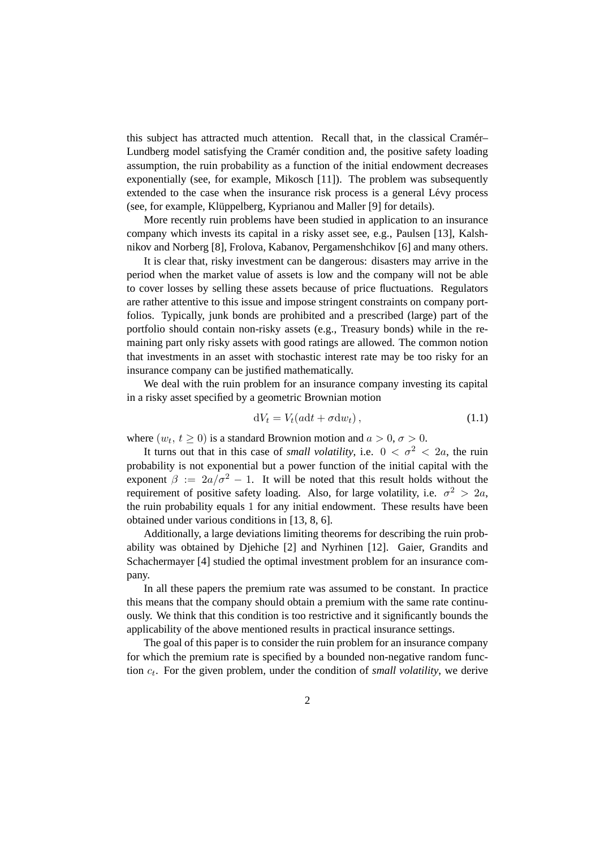this subject has attracted much attention. Recall that, in the classical Cramer– ´ Lundberg model satisfying the Cramer condition and, the positive safety loading assumption, the ruin probability as a function of the initial endowment decreases exponentially (see, for example, Mikosch [11]). The problem was subsequently extended to the case when the insurance risk process is a general Lévy process (see, for example, Klüppelberg, Kyprianou and Maller [9] for details).

More recently ruin problems have been studied in application to an insurance company which invests its capital in a risky asset see, e.g., Paulsen [13], Kalshnikov and Norberg [8], Frolova, Kabanov, Pergamenshchikov [6] and many others.

It is clear that, risky investment can be dangerous: disasters may arrive in the period when the market value of assets is low and the company will not be able to cover losses by selling these assets because of price fluctuations. Regulators are rather attentive to this issue and impose stringent constraints on company portfolios. Typically, junk bonds are prohibited and a prescribed (large) part of the portfolio should contain non-risky assets (e.g., Treasury bonds) while in the remaining part only risky assets with good ratings are allowed. The common notion that investments in an asset with stochastic interest rate may be too risky for an insurance company can be justified mathematically.

We deal with the ruin problem for an insurance company investing its capital in a risky asset specified by a geometric Brownian motion

$$
dV_t = V_t(adt + \sigma dw_t), \qquad (1.1)
$$

where  $(w_t, t \ge 0)$  is a standard Brownion motion and  $a > 0, \sigma > 0$ .

It turns out that in this case of *small volatility*, i.e.  $0 < \sigma^2 < 2a$ , the ruin probability is not exponential but a power function of the initial capital with the exponent  $\beta := 2a/\sigma^2 - 1$ . It will be noted that this result holds without the requirement of positive safety loading. Also, for large volatility, i.e.  $\sigma^2 > 2a$ , the ruin probability equals 1 for any initial endowment. These results have been obtained under various conditions in [13, 8, 6].

Additionally, a large deviations limiting theorems for describing the ruin probability was obtained by Djehiche [2] and Nyrhinen [12]. Gaier, Grandits and Schachermayer [4] studied the optimal investment problem for an insurance company.

In all these papers the premium rate was assumed to be constant. In practice this means that the company should obtain a premium with the same rate continuously. We think that this condition is too restrictive and it significantly bounds the applicability of the above mentioned results in practical insurance settings.

The goal of this paper is to consider the ruin problem for an insurance company for which the premium rate is specified by a bounded non-negative random function  $c_t$ . For the given problem, under the condition of *small volatility*, we derive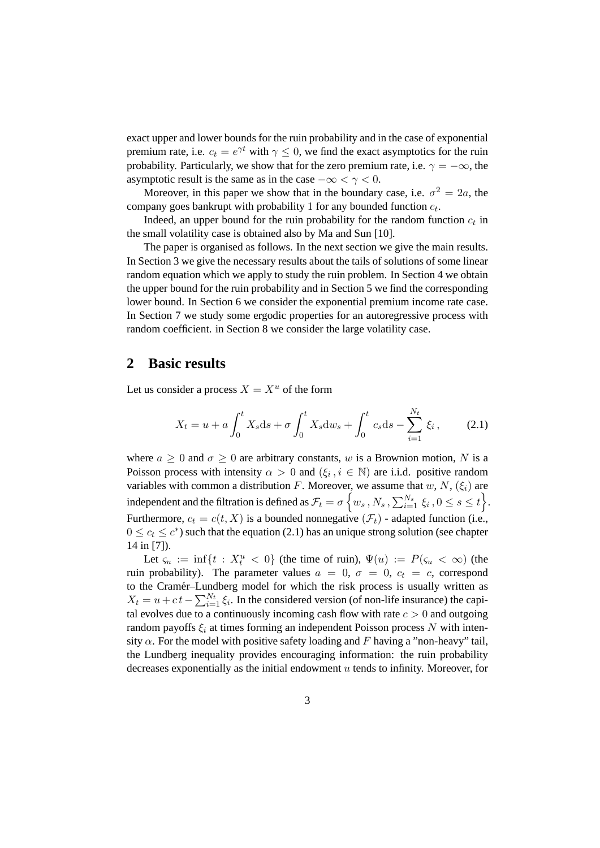exact upper and lower bounds for the ruin probability and in the case of exponential premium rate, i.e.  $c_t = e^{\gamma t}$  with  $\gamma \leq 0$ , we find the exact asymptotics for the ruin probability. Particularly, we show that for the zero premium rate, i.e.  $\gamma = -\infty$ , the asymptotic result is the same as in the case  $-\infty < \gamma < 0$ .

Moreover, in this paper we show that in the boundary case, i.e.  $\sigma^2 = 2a$ , the company goes bankrupt with probability 1 for any bounded function  $c_t$ .

Indeed, an upper bound for the ruin probability for the random function  $c_t$  in the small volatility case is obtained also by Ma and Sun [10].

The paper is organised as follows. In the next section we give the main results. In Section 3 we give the necessary results about the tails of solutions of some linear random equation which we apply to study the ruin problem. In Section 4 we obtain the upper bound for the ruin probability and in Section 5 we find the corresponding lower bound. In Section 6 we consider the exponential premium income rate case. In Section 7 we study some ergodic properties for an autoregressive process with random coefficient. in Section 8 we consider the large volatility case.

#### **2 Basic results**

Let us consider a process  $X = X^u$  of the form

$$
X_t = u + a \int_0^t X_s ds + \sigma \int_0^t X_s dw_s + \int_0^t c_s ds - \sum_{i=1}^{N_t} \xi_i, \qquad (2.1)
$$

where  $a \geq 0$  and  $\sigma \geq 0$  are arbitrary constants, w is a Brownion motion, N is a Poisson process with intensity  $\alpha > 0$  and  $(\xi_i, i \in \mathbb{N})$  are i.i.d. positive random variables with common a distribution F. Moreover, we assume that  $w, N, (\xi_i)$  are independent and the filtration is defined as  $\mathcal{F}_t = \sigma \left\{ w_s \,, N_s \,, \sum_{i=1}^{N_s} \, \xi_i \,, 0 \leq s \leq t \right\}$ . Furthermore,  $c_t = c(t, X)$  is a bounded nonnegative  $(\mathcal{F}_t)$  - adapted function (i.e.,  $0 \leq c_t \leq c^*$ ) such that the equation (2.1) has an unique strong solution (see chapter 14 in [7]).

Let  $\zeta_u := \inf\{t : X_t^u < 0\}$  (the time of ruin),  $\Psi(u) := P(\zeta_u < \infty)$  (the ruin probability). The parameter values  $a = 0$ ,  $\sigma = 0$ ,  $c_t = c$ , correspond to the Cramer–Lundberg model for which the risk process is usually written as ´  $X_t = u + c t - \sum_{i=1}^{N_t} \xi_i$ . In the considered version (of non-life insurance) the capital evolves due to a continuously incoming cash flow with rate  $c > 0$  and outgoing random payoffs  $\xi_i$  at times forming an independent Poisson process N with intensity  $\alpha$ . For the model with positive safety loading and F having a "non-heavy" tail, the Lundberg inequality provides encouraging information: the ruin probability decreases exponentially as the initial endowment  $u$  tends to infinity. Moreover, for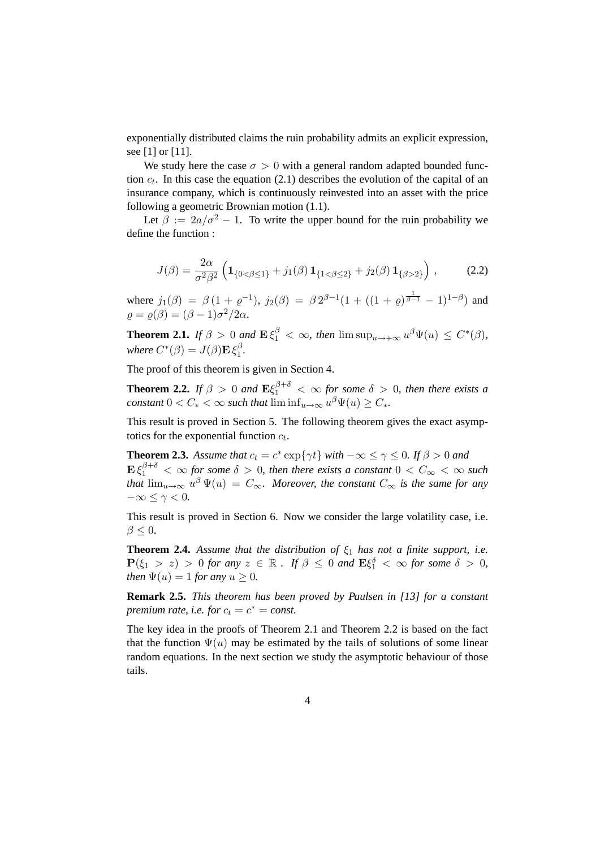exponentially distributed claims the ruin probability admits an explicit expression, see [1] or [11].

We study here the case  $\sigma > 0$  with a general random adapted bounded function  $c_t$ . In this case the equation (2.1) describes the evolution of the capital of an insurance company, which is continuously reinvested into an asset with the price following a geometric Brownian motion (1.1).

Let  $\beta := 2a/\sigma^2 - 1$ . To write the upper bound for the ruin probability we define the function :

$$
J(\beta) = \frac{2\alpha}{\sigma^2 \beta^2} \left( \mathbf{1}_{\{0 < \beta \le 1\}} + j_1(\beta) \, \mathbf{1}_{\{1 < \beta \le 2\}} + j_2(\beta) \, \mathbf{1}_{\{\beta > 2\}} \right) \,, \tag{2.2}
$$

where  $j_1(\beta) = \beta (1 + \varrho^{-1}), j_2(\beta) = \beta 2^{\beta - 1} (1 + ((1 + \varrho)^{\frac{1}{\beta - 1}} - 1)^{1-\beta})$  and  $\rho = \rho(\beta) = (\beta - 1)\sigma^2/2\alpha.$ 

**Theorem 2.1.** *If*  $\beta > 0$  *and*  $\mathbf{E} \xi_1^{\beta} < \infty$ *, then*  $\limsup_{u \to +\infty} u^{\beta} \Psi(u) \leq C^*(\beta)$ *,* where  $C^*(\beta) = J(\beta) \mathbf{E} \, \xi_1^\beta$  $\frac{\rho}{1}$ .

The proof of this theorem is given in Section 4.

**Theorem 2.2.** *If*  $\beta > 0$  *and*  $\mathbf{E}\xi_1^{\beta+\delta} < \infty$  *for some*  $\delta > 0$ *, then there exists a constant*  $0 < C_* < \infty$  *such that*  $\liminf_{u \to \infty} u^{\beta} \Psi(u) \ge C_*$ *.* 

This result is proved in Section 5. The following theorem gives the exact asymptotics for the exponential function  $c_t$ .

**Theorem 2.3.** Assume that  $c_t = c^* \exp{\lbrace \gamma t \rbrace}$  with  $-\infty \leq \gamma \leq 0$ . If  $\beta > 0$  and  $\mathbf{E} \, \xi_1^{\beta + \delta} \, < \, \infty$  for some  $\delta \, > \, 0$ , then there exists a constant  $0 \, < \, C_\infty \, < \, \infty$  such that  $\lim_{u\to\infty}u^{\beta}\Psi(u) = C_{\infty}$ . Moreover, the constant  $C_{\infty}$  is the same for any  $-\infty \leq \gamma < 0$ .

This result is proved in Section 6. Now we consider the large volatility case, i.e.  $\beta \leq 0$ .

**Theorem 2.4.** *Assume that the distribution of*  $\xi_1$  *has not a finite support, i.e.*  $P(\xi_1 > z) > 0$  for any  $z \in \mathbb{R}$ . If  $\beta \leq 0$  and  $E\xi_1^{\delta} < \infty$  for some  $\delta > 0$ , *then*  $\Psi(u) = 1$  *for any*  $u \geq 0$ *.* 

**Remark 2.5.** *This theorem has been proved by Paulsen in [13] for a constant premium rate, i.e. for*  $c_t = c^* = const.$ 

The key idea in the proofs of Theorem 2.1 and Theorem 2.2 is based on the fact that the function  $\Psi(u)$  may be estimated by the tails of solutions of some linear random equations. In the next section we study the asymptotic behaviour of those tails.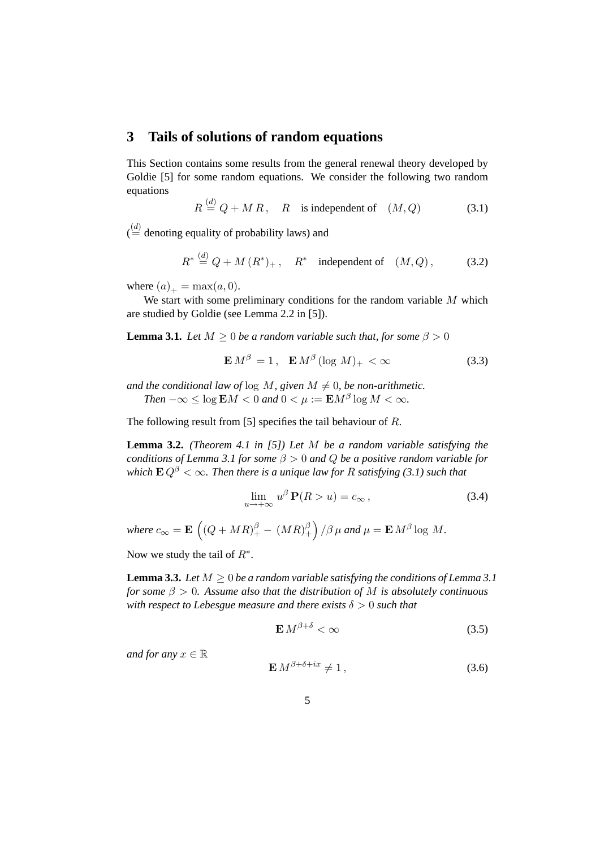#### **3 Tails of solutions of random equations**

This Section contains some results from the general renewal theory developed by Goldie [5] for some random equations. We consider the following two random equations

$$
R \stackrel{(d)}{=} Q + MR, \quad R \quad \text{is independent of} \quad (M, Q) \tag{3.1}
$$

 $\binom{d}{m}$  denoting equality of probability laws) and

$$
R^* \stackrel{(d)}{=} Q + M (R^*)_+, \quad R^* \quad \text{independent of} \quad (M, Q), \tag{3.2}
$$

where  $(a)_+$  = max $(a, 0)$ .

We start with some preliminary conditions for the random variable  $M$  which are studied by Goldie (see Lemma 2.2 in [5]).

**Lemma 3.1.** *Let*  $M \geq 0$  *be a random variable such that, for some*  $\beta > 0$ 

$$
\mathbf{E} M^{\beta} = 1, \quad \mathbf{E} M^{\beta} (\log M)_{+} < \infty \tag{3.3}
$$

*and the conditional law of*  $\log M$ *, given*  $M \neq 0$ *, be non-arithmetic. Then*  $-\infty \leq \log \mathbf{E} M < 0$  and  $0 < \mu := \mathbf{E} M^{\beta} \log M < \infty$ .

The following result from [5] specifies the tail behaviour of R.

**Lemma 3.2.** *(Theorem 4.1 in [5]) Let* M *be a random variable satisfying the conditions of Lemma 3.1 for some* β > 0 *and* Q *be a positive random variable for which*  $\mathbf{E} Q^{\beta} < \infty$ *. Then there is a unique law for* R *satisfying* (3.1) such that

$$
\lim_{u \to +\infty} u^{\beta} \mathbf{P}(R > u) = c_{\infty}, \tag{3.4}
$$

where  $c_{\infty} = \mathbf{E} \, \left( (Q + MR)_+^\beta - \, (MR)_+^\beta \right)$  $\binom{\beta}{+}$  / $\beta$   $\mu$  and  $\mu = \mathbf{E} M^{\beta} \log M$ .

Now we study the tail of  $R^*$ .

**Lemma 3.3.** *Let*  $M \geq 0$  *be a random variable satisfying the conditions of Lemma 3.1 for some* β > 0*. Assume also that the distribution of* M *is absolutely continuous with respect to Lebesgue measure and there exists*  $\delta > 0$  *such that* 

$$
\mathbf{E} \, M^{\beta + \delta} < \infty \tag{3.5}
$$

*and for any*  $x \in \mathbb{R}$ 

$$
\mathbf{E} \, M^{\beta + \delta + ix} \neq 1 \,, \tag{3.6}
$$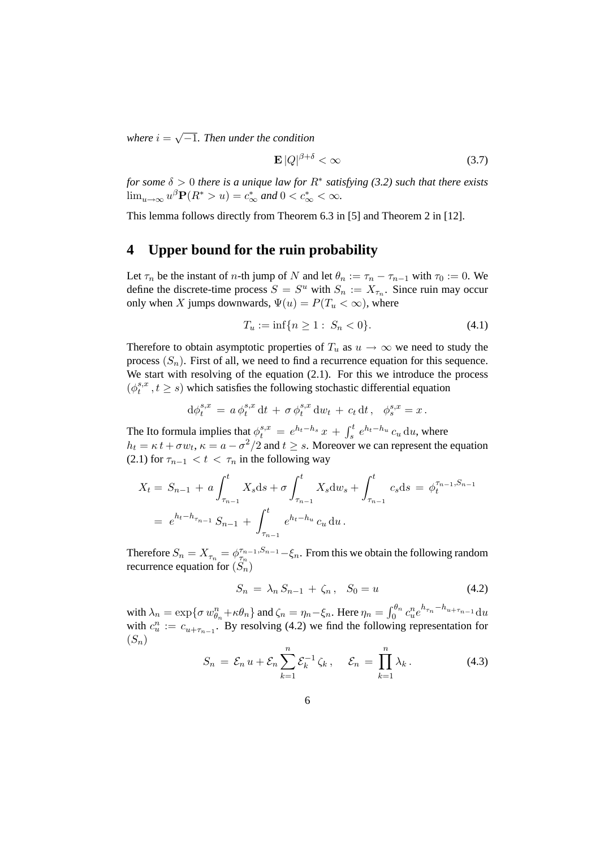$where i =$ √ −1*. Then under the condition*

$$
\mathbf{E}\left|Q\right|^{\beta+\delta} < \infty \tag{3.7}
$$

*for some* δ > 0 *there is a unique law for* R<sup>∗</sup> *satisfying (3.2) such that there exists*  $\lim_{u\to\infty} u^{\beta} \mathbf{P}(R^* > u) = c^*_{\infty}$  and  $0 < c^*_{\infty} < \infty$ .

This lemma follows directly from Theorem 6.3 in [5] and Theorem 2 in [12].

#### **4 Upper bound for the ruin probability**

Let  $\tau_n$  be the instant of *n*-th jump of N and let  $\theta_n := \tau_n - \tau_{n-1}$  with  $\tau_0 := 0$ . We define the discrete-time process  $S = S^u$  with  $S_n := X_{\tau_n}$ . Since ruin may occur only when X jumps downwards,  $\Psi(u) = P(T_u < \infty)$ , where

$$
T_u := \inf\{n \ge 1 : S_n < 0\}.\tag{4.1}
$$

Therefore to obtain asymptotic properties of  $T_u$  as  $u \to \infty$  we need to study the process  $(S_n)$ . First of all, we need to find a recurrence equation for this sequence. We start with resolving of the equation  $(2.1)$ . For this we introduce the process  $(\phi_t^{s,x})$  $t_t^{s,x}$ ,  $t \geq s$ ) which satisfies the following stochastic differential equation

$$
\mathrm{d}\phi_t^{s,x} \,=\, a\,\phi_t^{s,x} \,\mathrm{d} t \,+\, \sigma\,\phi_t^{s,x} \,\mathrm{d} w_t \,+\, c_t\,\mathrm{d} t\,,\ \ \, \phi_s^{s,x} = x\,.
$$

The Ito formula implies that  $\phi_t^{s,x} = e^{h_t-h_s}x + \int_s^t e^{h_t-h_u}c_u \, \mathrm{d}u$ , where  $h_t = \kappa t + \sigma w_t$ ,  $\kappa = a - \frac{\sigma^2}{2}$  and  $t \geq s$ . Moreover we can represent the equation (2.1) for  $\tau_{n-1} < t < \tau_n$  in the following way

$$
X_t = S_{n-1} + a \int_{\tau_{n-1}}^t X_s ds + \sigma \int_{\tau_{n-1}}^t X_s dw_s + \int_{\tau_{n-1}}^t c_s ds = \phi_t^{\tau_{n-1}, S_{n-1}}
$$
  
=  $e^{h_t - h_{\tau_{n-1}}} S_{n-1} + \int_{\tau_{n-1}}^t e^{h_t - h_u} c_u du.$ 

Therefore  $S_n = X_{\tau_n} = \phi_{\tau_n}^{\tau_{n-1}, S_{n-1}} - \xi_n$ . From this we obtain the following random recurrence equation for  $(S_n)$ 

$$
S_n = \lambda_n S_{n-1} + \zeta_n, \quad S_0 = u \tag{4.2}
$$

with  $\lambda_n = \exp\{\sigma w_{\theta_n}^n + \kappa \theta_n\}$  and  $\zeta_n = \eta_n - \xi_n$ . Here  $\eta_n = \int_0^{\theta_n} c_u^n e^{h_{\tau_n} - h_{u + \tau_{n-1}}} du$ with  $c_u^n := c_{u+\tau_{n-1}}$ . By resolving (4.2) we find the following representation for  $(S_n)$ 

$$
S_n = \mathcal{E}_n u + \mathcal{E}_n \sum_{k=1}^n \mathcal{E}_k^{-1} \zeta_k, \quad \mathcal{E}_n = \prod_{k=1}^n \lambda_k.
$$
 (4.3)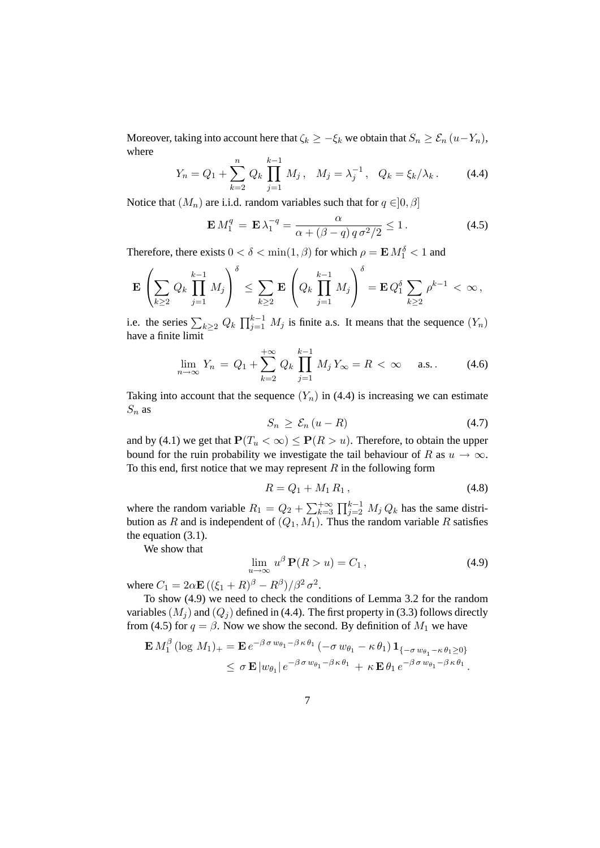Moreover, taking into account here that  $\zeta_k \geq -\zeta_k$  we obtain that  $S_n \geq \mathcal{E}_n(u-Y_n)$ , where

$$
Y_n = Q_1 + \sum_{k=2}^n Q_k \prod_{j=1}^{k-1} M_j, \quad M_j = \lambda_j^{-1}, \quad Q_k = \xi_k / \lambda_k. \tag{4.4}
$$

Notice that  $(M_n)$  are i.i.d. random variables such that for  $q \in ]0, \beta]$ 

$$
\mathbf{E} M_1^q = \mathbf{E} \lambda_1^{-q} = \frac{\alpha}{\alpha + (\beta - q) q \sigma^2 / 2} \le 1.
$$
 (4.5)

Therefore, there exists  $0 < \delta < \min(1, \beta)$  for which  $\rho = \mathbf{E} M_1^{\delta} < 1$  and

$$
\mathbf{E}\left(\sum_{k\geq 2}Q_k\prod_{j=1}^{k-1}M_j\right)^{\delta}\leq \sum_{k\geq 2}\mathbf{E}\left(Q_k\prod_{j=1}^{k-1}M_j\right)^{\delta}=\mathbf{E}Q_1^{\delta}\sum_{k\geq 2}\rho^{k-1}<\infty,
$$

i.e. the series  $\sum_{k\geq 2} Q_k \prod_{j=1}^{k-1} M_j$  is finite a.s. It means that the sequence  $(Y_n)$ have a finite limit

$$
\lim_{n \to \infty} Y_n = Q_1 + \sum_{k=2}^{+\infty} Q_k \prod_{j=1}^{k-1} M_j Y_{\infty} = R < \infty \quad \text{a.s.} \tag{4.6}
$$

Taking into account that the sequence  $(Y_n)$  in (4.4) is increasing we can estimate  $S_n$  as

$$
S_n \geq \mathcal{E}_n \left( u - R \right) \tag{4.7}
$$

and by (4.1) we get that  $P(T_u < \infty) \leq P(R > u)$ . Therefore, to obtain the upper bound for the ruin probability we investigate the tail behaviour of R as  $u \to \infty$ . To this end, first notice that we may represent  $R$  in the following form

$$
R = Q_1 + M_1 R_1, \t\t(4.8)
$$

where the random variable  $R_1 = Q_2 + \sum_{k=3}^{+\infty} \prod_{j=2}^{k-1} M_j Q_k$  has the same distribution as R and is independent of  $(Q_1, M_1)$ . Thus the random variable R satisfies the equation (3.1).

We show that

$$
\lim_{u \to \infty} u^{\beta} \mathbf{P}(R > u) = C_1, \qquad (4.9)
$$

where  $C_1 = 2\alpha \mathbf{E} \left( (\xi_1 + R)^{\beta} - R^{\beta} \right) / \beta^2 \sigma^2$ .

To show (4.9) we need to check the conditions of Lemma 3.2 for the random variables  $(M<sub>j</sub>)$  and  $(Q<sub>j</sub>)$  defined in (4.4). The first property in (3.3) follows directly from (4.5) for  $q = \beta$ . Now we show the second. By definition of  $M_1$  we have

$$
\mathbf{E} M_1^{\beta} (\log M_1)_+ = \mathbf{E} e^{-\beta \sigma w_{\theta_1} - \beta \kappa \theta_1} (-\sigma w_{\theta_1} - \kappa \theta_1) \mathbf{1}_{\{-\sigma w_{\theta_1} - \kappa \theta_1 \ge 0\}} \le \sigma \mathbf{E} |w_{\theta_1}| e^{-\beta \sigma w_{\theta_1} - \beta \kappa \theta_1} + \kappa \mathbf{E} \theta_1 e^{-\beta \sigma w_{\theta_1} - \beta \kappa \theta_1}.
$$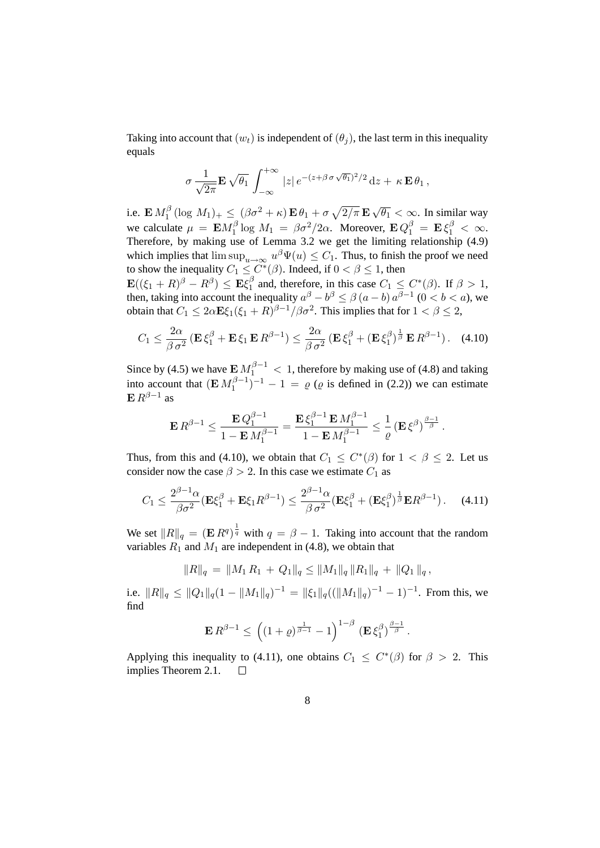Taking into account that  $(w_t)$  is independent of  $(\theta_i)$ , the last term in this inequality equals

$$
\sigma \frac{1}{\sqrt{2\pi}} \mathbf{E} \sqrt{\theta_1} \int_{-\infty}^{+\infty} |z| e^{-(z+\beta \sigma \sqrt{\theta_1})^2/2} dz + \kappa \mathbf{E} \theta_1,
$$

i.e.  $\mathbf{E} M_1^{\beta}$  $\int_{1}^{\beta} \left(\log M_1\right)_+ \leq \left(\beta \sigma^2 + \kappa\right) \mathbf{E}\, \theta_1 + \sigma\, \sqrt{2/\pi}\, \mathbf{E}\,$ √  $\overline{\theta_1} < \infty$ . In similar way we calculate  $\mu = \mathbf{E} M_1^{\beta}$  $\int_1^\beta \log M_1 = \beta \sigma^2 / 2\alpha$ . Moreover,  $\mathbf{E} Q_1^\beta = \mathbf{E} \xi_1^\beta < \infty$ . Therefore, by making use of Lemma 3.2 we get the limiting relationship (4.9) which implies that  $\limsup_{u\to\infty} u^{\beta}\Psi(u) \leq C_1$ . Thus, to finish the proof we need to show the inequality  $C_1 \leq C^*(\beta)$ . Indeed, if  $0 < \beta \leq 1$ , then  $\mathbf{E}((\xi_1+R)^{\beta}-R^{\beta})\leq \mathbf{E}\xi_1^{\beta}$ 

 $\frac{\beta}{1}$  and, therefore, in this case  $C_1 \leq C^*(\beta)$ . If  $\beta > 1$ , then, taking into account the inequality  $a^{\beta} - b^{\beta} \le \beta (a - b) a^{\beta - 1}$   $(0 < b < a)$ , we obtain that  $C_1 \leq 2\alpha\mathbf{E}\xi_1(\xi_1+R)^{\beta-1}/\beta\sigma^2$ . This implies that for  $1 < \beta \leq 2$ ,

$$
C_1 \leq \frac{2\alpha}{\beta \sigma^2} \left( \mathbf{E} \xi_1^{\beta} + \mathbf{E} \xi_1 \mathbf{E} R^{\beta - 1} \right) \leq \frac{2\alpha}{\beta \sigma^2} \left( \mathbf{E} \xi_1^{\beta} + (\mathbf{E} \xi_1^{\beta})^{\frac{1}{\beta}} \mathbf{E} R^{\beta - 1} \right). \tag{4.10}
$$

Since by (4.5) we have  $\mathbf{E} M_1^{\beta - 1} < 1$ , therefore by making use of (4.8) and taking into account that  $(\mathbf{E} M_1^{\beta-1})$  $\binom{\beta-1}{1}$  – 1 =  $\varrho$  ( $\varrho$  is defined in (2.2)) we can estimate  $E R^{\beta-1}$  as

$$
\mathbf{E} R^{\beta-1} \leq \frac{\mathbf{E} Q_1^{\beta-1}}{1-\mathbf{E} M_1^{\beta-1}} = \frac{\mathbf{E} \xi_1^{\beta-1} \mathbf{E} M_1^{\beta-1}}{1-\mathbf{E} M_1^{\beta-1}} \leq \frac{1}{\varrho} \left( \mathbf{E} \xi^{\beta} \right)^{\frac{\beta-1}{\beta}}.
$$

Thus, from this and (4.10), we obtain that  $C_1 \n\t\le C^*(\beta)$  for  $1 \lt \beta \le 2$ . Let us consider now the case  $\beta > 2$ . In this case we estimate  $C_1$  as

$$
C_1 \leq \frac{2^{\beta - 1} \alpha}{\beta \sigma^2} (\mathbf{E} \xi_1^{\beta} + \mathbf{E} \xi_1 R^{\beta - 1}) \leq \frac{2^{\beta - 1} \alpha}{\beta \sigma^2} (\mathbf{E} \xi_1^{\beta} + (\mathbf{E} \xi_1^{\beta})^{\frac{1}{\beta}} \mathbf{E} R^{\beta - 1}). \tag{4.11}
$$

We set  $||R||_q = (\mathbf{E} R^q)^{\frac{1}{q}}$  with  $q = \beta - 1$ . Taking into account that the random variables  $R_1$  and  $M_1$  are independent in (4.8), we obtain that

$$
||R||_q = ||M_1 R_1 + Q_1||_q \le ||M_1||_q ||R_1||_q + ||Q_1||_q,
$$

i.e.  $||R||_q \le ||Q_1||_q (1 - ||M_1||_q)^{-1} = ||\xi_1||_q ((||M_1||_q)^{-1} - 1)^{-1}$ . From this, we find

$$
\mathbf{E} R^{\beta-1} \le \left( (1+\varrho)^{\frac{1}{\beta-1}} - 1 \right)^{1-\beta} \left( \mathbf{E} \xi_1^{\beta} \right)^{\frac{\beta-1}{\beta}}.
$$

Applying this inequality to (4.11), one obtains  $C_1 \n\leq C^*(\beta)$  for  $\beta > 2$ . This implies Theorem 2.1.  $\Box$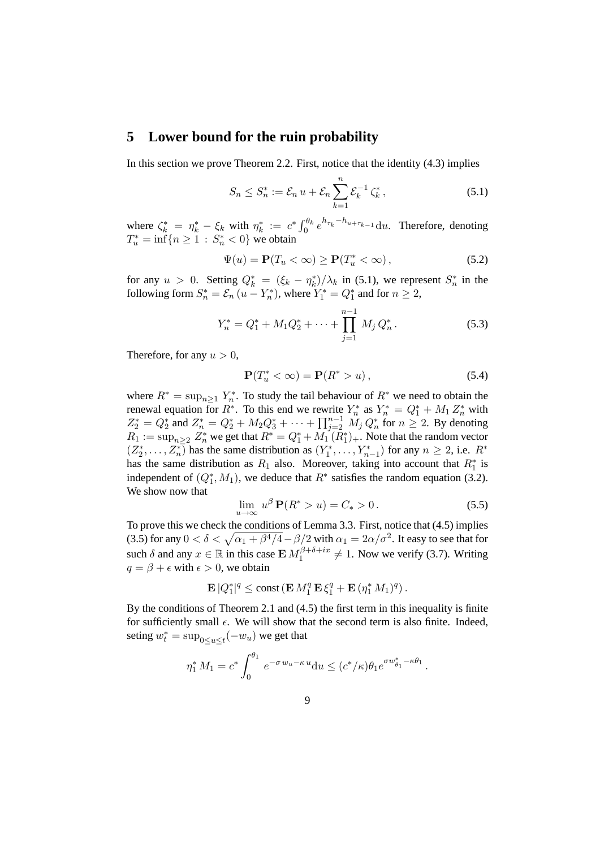#### **5 Lower bound for the ruin probability**

In this section we prove Theorem 2.2. First, notice that the identity (4.3) implies

$$
S_n \le S_n^* := \mathcal{E}_n u + \mathcal{E}_n \sum_{k=1}^n \mathcal{E}_k^{-1} \zeta_k^*,
$$
 (5.1)

where  $\zeta_k^* = \eta_k^* - \xi_k$  with  $\eta_k^* := c^* \int_0^{\theta_k} e^{h_{\tau_k} - h_{u + \tau_{k-1}}} du$ . Therefore, denoting  $T_u^* = \inf\{n \ge 1 : S_n^* < 0\}$  we obtain

$$
\Psi(u) = \mathbf{P}(T_u < \infty) \ge \mathbf{P}(T_u^* < \infty),\tag{5.2}
$$

for any  $u > 0$ . Setting  $Q_k^* = (\xi_k - \eta_k^*)/\lambda_k$  in (5.1), we represent  $S_n^*$  in the following form  $S_n^* = \mathcal{E}_n$   $(u - Y_n^*)$ , where  $Y_1^* = Q_1^*$  and for  $n \ge 2$ ,

$$
Y_n^* = Q_1^* + M_1 Q_2^* + \dots + \prod_{j=1}^{n-1} M_j Q_n^* \,. \tag{5.3}
$$

Therefore, for any  $u > 0$ ,

$$
\mathbf{P}(T_u^* < \infty) = \mathbf{P}(R^* > u),\tag{5.4}
$$

where  $R^* = \sup_{n \geq 1} Y_n^*$ . To study the tail behaviour of  $R^*$  we need to obtain the renewal equation for  $R^*$ . To this end we rewrite  $Y_n^*$  as  $Y_n^* = Q_1^* + M_1 Z_n^*$  with  $Z_2^* = Q_2^*$  and  $Z_n^* = Q_2^* + M_2 Q_3^* + \cdots + \prod_{j=2}^{n-1} M_j Q_n^*$  for  $n \ge 2$ . By denoting  $R_1 := \sup_{n \geq 2} Z_n^*$  we get that  $R^* = Q_1^* + M_1(R_1^*)_+$ . Note that the random vector  $(Z_2^*, \ldots, Z_n^*)$  has the same distribution as  $(Y_1^*, \ldots, Y_{n-1}^*)$  for any  $n \geq 2$ , i.e.  $R^*$ has the same distribution as  $R_1$  also. Moreover, taking into account that  $R_1^*$  is independent of  $(Q_1^*, M_1)$ , we deduce that  $R^*$  satisfies the random equation (3.2). We show now that

$$
\lim_{u \to \infty} u^{\beta} \mathbf{P}(R^* > u) = C_* > 0. \tag{5.5}
$$

To prove this we check the conditions of Lemma 3.3. First, notice that (4.5) implies (3.5) for any  $0 < \delta < \sqrt{\alpha_1 + \beta^4/4} - \beta/2$  with  $\alpha_1 = 2\alpha/\sigma^2$ . It easy to see that for such  $\delta$  and any  $x \in \mathbb{R}$  in this case  $\mathbf{E} M_1^{\beta+\delta+ix}$  $1^{D+O+ix} \neq 1$ . Now we verify (3.7). Writing  $q = \beta + \epsilon$  with  $\epsilon > 0$ , we obtain

$$
\mathbf{E}|Q_1^*|^q \le \mathrm{const}\left(\mathbf{E}\,M_1^q\,\mathbf{E}\,\xi_1^q + \mathbf{E}\,(\eta_1^*\,M_1)^q\right).
$$

By the conditions of Theorem 2.1 and (4.5) the first term in this inequality is finite for sufficiently small  $\epsilon$ . We will show that the second term is also finite. Indeed, seting  $w_t^* = \sup_{0 \le u \le t} (-w_u)$  we get that

$$
\eta_1^* M_1 = c^* \int_0^{\theta_1} e^{-\sigma w_u - \kappa u} du \le (c^* / \kappa) \theta_1 e^{\sigma w_{\theta_1}^* - \kappa \theta_1}.
$$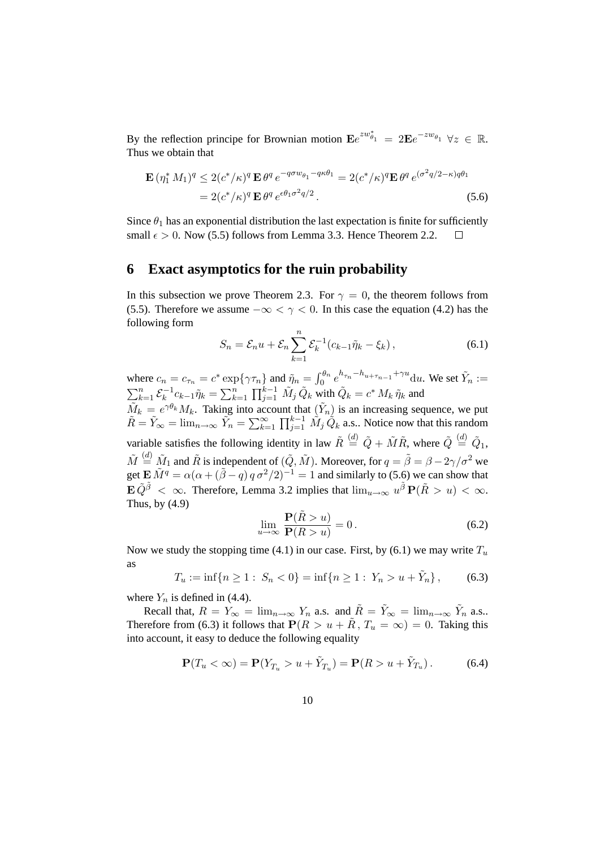By the reflection principe for Brownian motion  $\mathbf{E}e^{zw_{\theta_1}^*} = 2\mathbf{E}e^{-zw_{\theta_1}} \ \forall z \in \mathbb{R}$ . Thus we obtain that

$$
\mathbf{E} \left( \eta_1^* M_1 \right)^q \leq 2 \left( c^* / \kappa \right)^q \mathbf{E} \, \theta^q \, e^{-q \sigma w_{\theta_1} - q \kappa \theta_1} = 2 \left( c^* / \kappa \right)^q \mathbf{E} \, \theta^q \, e^{( \sigma^2 q / 2 - \kappa) q \theta_1}
$$
\n
$$
= 2 \left( c^* / \kappa \right)^q \mathbf{E} \, \theta^q \, e^{\epsilon \theta_1 \sigma^2 q / 2} \,. \tag{5.6}
$$

Since  $\theta_1$  has an exponential distribution the last expectation is finite for sufficiently small  $\epsilon > 0$ . Now (5.5) follows from Lemma 3.3. Hence Theorem 2.2.  $\Box$ 

#### **6 Exact asymptotics for the ruin probability**

In this subsection we prove Theorem 2.3. For  $\gamma = 0$ , the theorem follows from (5.5). Therefore we assume  $-\infty < \gamma < 0$ . In this case the equation (4.2) has the following form

$$
S_n = \mathcal{E}_n u + \mathcal{E}_n \sum_{k=1}^n \mathcal{E}_k^{-1} (c_{k-1} \tilde{\eta}_k - \xi_k), \qquad (6.1)
$$

where  $c_n = c_{\tau_n} = c^* \exp\{\gamma \tau_n\}$  and  $\tilde{\eta}_n = \int_0^{\theta_n} e^{h_{\tau_n} - h_{u + \tau_{n-1}} + \gamma u} du$ . We set  $\tilde{Y}_n :=$  $\sum_{k=1}^n \mathcal{E}_k^{-1}$  $\tilde{Q}_k^{-1}c_{k-1}\tilde{\eta}_k=\sum_{k=1}^n\prod_{j=1}^{k-1}\tilde{M}_j\,\tilde{Q}_k$  with  $\tilde{Q}_k=c^*\,M_k\,\tilde{\eta}_k$  and  $\tilde{M}_k = e^{\gamma \theta_k} M_k$ . Taking into account that  $(\tilde{Y}_n)$  is an increasing sequence, we put  $\tilde{R} = \tilde{Y}_{\infty} = \lim_{n \to \infty} \tilde{Y}_n = \sum_{k=1}^{\infty} \prod_{j=1}^{k-1} \tilde{M}_j \tilde{Q}_k$  a.s.. Notice now that this random variable satisfies the following identity in law  $\tilde{R} \stackrel{(d)}{=} \tilde{Q} + \tilde{M}\tilde{R}$ , where  $\tilde{Q} \stackrel{(d)}{=} \tilde{Q}_1$ ,  $\tilde{M} \stackrel{(d)}{=} \tilde{M}_1$  and  $\tilde{R}$  is independent of  $(\tilde{Q}, \tilde{M})$ . Moreover, for  $q = \tilde{\beta} = \beta - 2\gamma/\sigma^2$  we get  $\mathbf{E} \tilde{M} = \alpha(\alpha + (\tilde{\beta} - q) q \sigma^2/2)^{-1} = 1$  and similarly to (5.6) we can show that  $\mathbf{E} \, \tilde{Q}^{\tilde{\beta}} \, < \, \infty$ . Therefore, Lemma 3.2 implies that  $\lim_{u \to \infty} u^{\tilde{\beta}} \, \mathbf{P}(\tilde{R} > u) \, < \, \infty$ .

$$
\mathbf{P}(\tilde{R} > u)
$$

$$
\lim_{u \to \infty} \frac{\mathbf{P}(R > u)}{\mathbf{P}(R > u)} = 0.
$$
\n(6.2)

Now we study the stopping time (4.1) in our case. First, by (6.1) we may write  $T_u$ as

$$
T_u := \inf\{n \ge 1: S_n < 0\} = \inf\{n \ge 1: Y_n > u + \tilde{Y}_n\},\tag{6.3}
$$

where  $Y_n$  is defined in (4.4).

Thus, by (4.9)

Recall that,  $R = Y_{\infty} = \lim_{n \to \infty} Y_n$  a.s. and  $\tilde{R} = \tilde{Y}_{\infty} = \lim_{n \to \infty} \tilde{Y}_n$  a.s. Therefore from (6.3) it follows that  $\mathbf{P}(R > u + \tilde{R}, T_u = \infty) = 0$ . Taking this into account, it easy to deduce the following equality

$$
\mathbf{P}(T_u < \infty) = \mathbf{P}(Y_{T_u} > u + \tilde{Y}_{T_u}) = \mathbf{P}(R > u + \tilde{Y}_{T_u}).\tag{6.4}
$$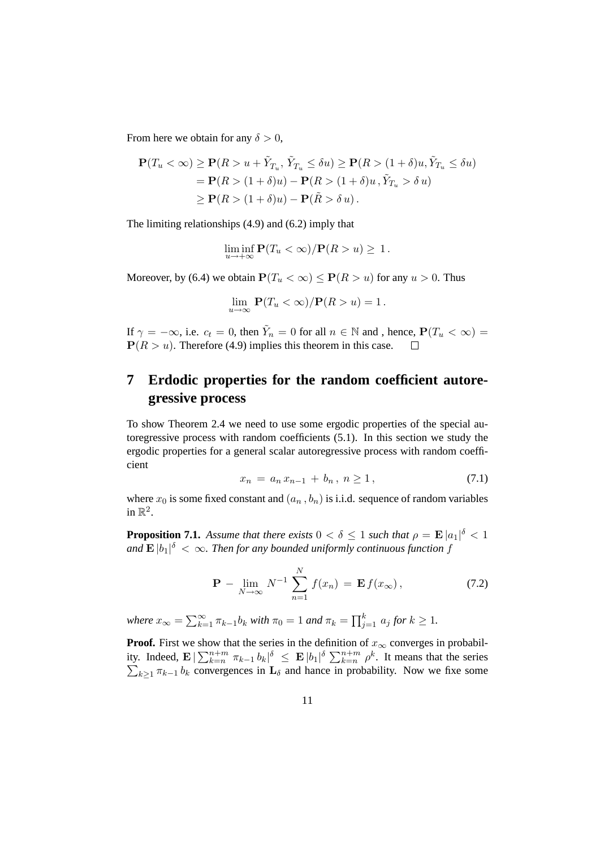From here we obtain for any  $\delta > 0$ ,

$$
\mathbf{P}(T_u < \infty) \ge \mathbf{P}(R > u + \tilde{Y}_{T_u}, \tilde{Y}_{T_u} \le \delta u) \ge \mathbf{P}(R > (1 + \delta)u, \tilde{Y}_{T_u} \le \delta u)
$$
  
=  $\mathbf{P}(R > (1 + \delta)u) - \mathbf{P}(R > (1 + \delta)u, \tilde{Y}_{T_u} > \delta u)$   
 $\ge \mathbf{P}(R > (1 + \delta)u) - \mathbf{P}(\tilde{R} > \delta u).$ 

The limiting relationships (4.9) and (6.2) imply that

$$
\liminf_{u \to +\infty} \mathbf{P}(T_u < \infty) / \mathbf{P}(R > u) \geq 1.
$$

Moreover, by (6.4) we obtain  $P(T_u < \infty) \leq P(R > u)$  for any  $u > 0$ . Thus

$$
\lim_{u \to \infty} \mathbf{P}(T_u < \infty) / \mathbf{P}(R > u) = 1 \, .
$$

If  $\gamma = -\infty$ , i.e.  $c_t = 0$ , then  $\tilde{Y}_n = 0$  for all  $n \in \mathbb{N}$  and , hence,  $\mathbf{P}(T_u < \infty) =$  $P(R > u)$ . Therefore (4.9) implies this theorem in this case.  $\Box$ 

# **7 Erdodic properties for the random coefficient autoregressive process**

To show Theorem 2.4 we need to use some ergodic properties of the special autoregressive process with random coefficients (5.1). In this section we study the ergodic properties for a general scalar autoregressive process with random coefficient

$$
x_n = a_n x_{n-1} + b_n, \ n \ge 1,
$$
\n<sup>(7.1)</sup>

where  $x_0$  is some fixed constant and  $(a_n, b_n)$  is i.i.d. sequence of random variables in  $\mathbb{R}^2$ .

**Proposition 7.1.** Assume that there exists  $0 < \delta \leq 1$  such that  $\rho = \mathbf{E} |a_1|^{\delta} < 1$ and  $\mathbf{E} \left| b_1 \right|^\delta \, < \, \infty.$  Then for any bounded uniformly continuous function  $f$ 

$$
\mathbf{P} - \lim_{N \to \infty} N^{-1} \sum_{n=1}^{N} f(x_n) = \mathbf{E} f(x_\infty), \qquad (7.2)
$$

*where*  $x_{\infty} = \sum_{k=1}^{\infty} \pi_{k-1} b_k$  *with*  $\pi_0 = 1$  *and*  $\pi_k = \prod_{j=1}^k a_j$  *for*  $k \geq 1$ *.* 

**Proof.** First we show that the series in the definition of  $x_{\infty}$  converges in probability. Indeed,  $\mathbf{E} \, |\, \sum_{k=n}^{n+m} \pi_{k-1} \, b_k |^\delta \ \leq \ \mathbf{E} \, |b_1|^\delta \, \sum_{k=n}^{n+m} \, \rho^k$  $\sum$ . It means that the series  $k \geq 1$   $\pi_{k-1}$   $b_k$  convergences in  $\mathbf{L}_{\delta}$  and hance in probability. Now we fixe some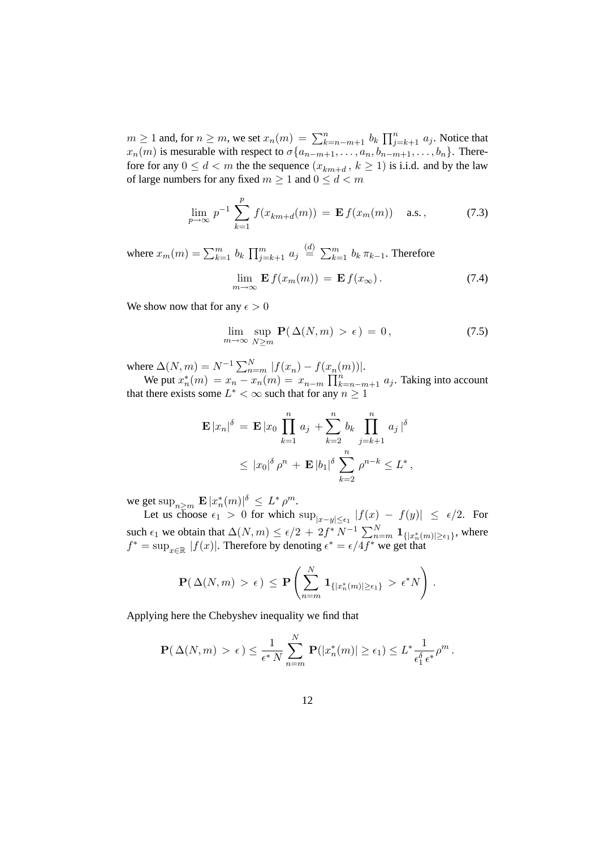$m \ge 1$  and, for  $n \ge m$ , we set  $x_n(m) = \sum_{k=n-m+1}^n b_k \prod_{j=k+1}^n a_j$ . Notice that  $x_n(m)$  is mesurable with respect to  $\sigma\{a_{n-m+1}, \ldots, a_n, b_{n-m+1}, \ldots, b_n\}$ . Therefore for any  $0 \le d < m$  the the sequence  $(x_{km+d}, k \ge 1)$  is i.i.d. and by the law of large numbers for any fixed  $m \geq 1$  and  $0 \leq d < m$ 

$$
\lim_{p \to \infty} p^{-1} \sum_{k=1}^{p} f(x_{km+d}(m)) = \mathbf{E} f(x_m(m)) \quad \text{a.s.}, \tag{7.3}
$$

where  $x_m(m) = \sum_{k=1}^m b_k \prod_{j=k+1}^m a_j \stackrel{(d)}{=} \sum_{k=1}^m b_k \pi_{k-1}$ . Therefore

$$
\lim_{m \to \infty} \mathbf{E} f(x_m(m)) = \mathbf{E} f(x_\infty). \tag{7.4}
$$

We show now that for any  $\epsilon > 0$ 

$$
\lim_{m \to \infty} \sup_{N \ge m} \mathbf{P}(\Delta(N, m) > \epsilon) = 0, \tag{7.5}
$$

where  $\Delta(N, m) = N^{-1} \sum_{n=m}^{N} |f(x_n) - f(x_n(m))|$ .

We put  $x_n^*(m) = x_n - x_n(m) = x_{n-m} \prod_{k=n-m+1}^n a_j$ . Taking into account that there exists some  $L^* < \infty$  such that for any  $n \geq 1$ 

$$
\mathbf{E} |x_n|^{\delta} = \mathbf{E} |x_0| \prod_{k=1}^n a_j + \sum_{k=2}^n b_k \prod_{j=k+1}^n a_j |^{\delta}
$$
  
 
$$
\leq |x_0|^{\delta} \rho^n + \mathbf{E} |b_1|^{\delta} \sum_{k=2}^n \rho^{n-k} \leq L^*,
$$

we get  $\sup_{n\geq m} |\mathbf{E}|x_n^*(m)|^{\delta} \leq L^*\rho^m$ .

Let us choose  $\epsilon_1 > 0$  for which  $\sup_{|x-y| \leq \epsilon_1} |f(x) - f(y)| \leq \epsilon/2$ . For such  $\epsilon_1$  we obtain that  $\Delta(N,m) \leq \epsilon/2 + 2f^* N^{-1} \sum_{n=m}^{N} \mathbf{1}_{\{|x_n^*(m)| \geq \epsilon_1\}}$ , where  $f^* = \sup_{x \in \mathbb{R}} |f(x)|$ . Therefore by denoting  $\epsilon^* = \epsilon/4 f^*$  we get that

$$
\mathbf{P}(\Delta(N,m) > \epsilon) \leq \mathbf{P}\left(\sum_{n=m}^N \mathbf{1}_{\{|x_n^*(m)| \geq \epsilon_1\}} > \epsilon^* N\right).
$$

Applying here the Chebyshev inequality we find that

$$
\mathbf{P}(\Delta(N,m) > \epsilon) \leq \frac{1}{\epsilon^* N} \sum_{n=m}^N \mathbf{P}(|x_n^*(m)| \geq \epsilon_1) \leq L^* \frac{1}{\epsilon_1^{\delta} \epsilon^*} \rho^m.
$$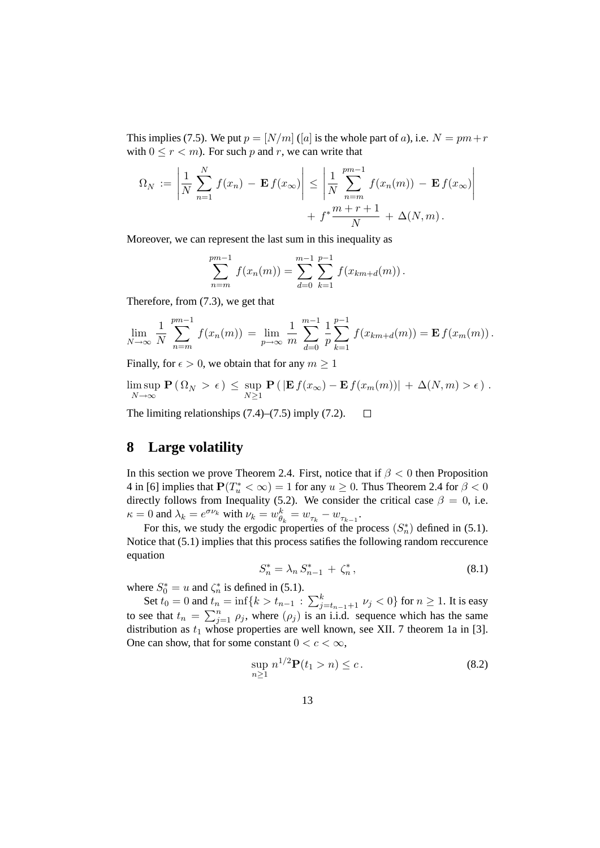This implies (7.5). We put  $p = [N/m]$  ([a] is the whole part of a), i.e.  $N = pm+r$ with  $0 \le r < m$ ). For such p and r, we can write that

$$
\Omega_N := \left| \frac{1}{N} \sum_{n=1}^N f(x_n) - \mathbf{E} f(x_\infty) \right| \le \left| \frac{1}{N} \sum_{n=m}^{pm-1} f(x_n(m)) - \mathbf{E} f(x_\infty) \right| + f^* \frac{m+r+1}{N} + \Delta(N, m).
$$

Moreover, we can represent the last sum in this inequality as

$$
\sum_{n=m}^{pm-1} f(x_n(m)) = \sum_{d=0}^{m-1} \sum_{k=1}^{p-1} f(x_{km+d}(m)).
$$

Therefore, from (7.3), we get that

$$
\lim_{N \to \infty} \frac{1}{N} \sum_{n=m}^{pm-1} f(x_n(m)) = \lim_{p \to \infty} \frac{1}{m} \sum_{d=0}^{m-1} \frac{1}{p} \sum_{k=1}^{p-1} f(x_{km+d}(m)) = \mathbf{E} f(x_m(m)).
$$

Finally, for  $\epsilon > 0$ , we obtain that for any  $m \ge 1$ 

$$
\limsup_{N \to \infty} \mathbf{P}(\Omega_N > \epsilon) \leq \sup_{N \geq 1} \mathbf{P}(|\mathbf{E} f(x_\infty) - \mathbf{E} f(x_m(m))| + \Delta(N, m) > \epsilon).
$$

The limiting relationships (7.4)–(7.5) imply (7.2).  $\Box$ 

## **8 Large volatility**

In this section we prove Theorem 2.4. First, notice that if  $\beta < 0$  then Proposition 4 in [6] implies that  $P(T_u^* < \infty) = 1$  for any  $u \ge 0$ . Thus Theorem 2.4 for  $\beta < 0$ directly follows from Inequality (5.2). We consider the critical case  $\beta = 0$ , i.e.  $\kappa = 0$  and  $\lambda_k = e^{\sigma \nu_k}$  with  $\nu_k = w_{\theta_k}^k = w_{\tau_k} - w_{\tau_{k-1}}$ .

For this, we study the ergodic properties of the process  $(S_n^*)$  defined in (5.1). Notice that (5.1) implies that this process satifies the following random reccurence equation

$$
S_n^* = \lambda_n \, S_{n-1}^* + \zeta_n^*,\tag{8.1}
$$

where  $S_0^* = u$  and  $\zeta_n^*$  is defined in (5.1). n

Set  $t_0 = 0$  and  $t_n = \inf\{k > t_{n-1} : \sum_{j=t_{n-1}+1}^{k} \nu_j < 0\}$  for  $n \ge 1$ . It is easy to see that  $t_n = \sum_{j=1}^n \rho_j$ , where  $(\rho_j)$  is an i.i.d. sequence which has the same distribution as  $t_1$  whose properties are well known, see XII. 7 theorem 1a in [3]. One can show, that for some constant  $0 < c < \infty$ ,

$$
\sup_{n\geq 1} n^{1/2} \mathbf{P}(t_1 > n) \leq c. \tag{8.2}
$$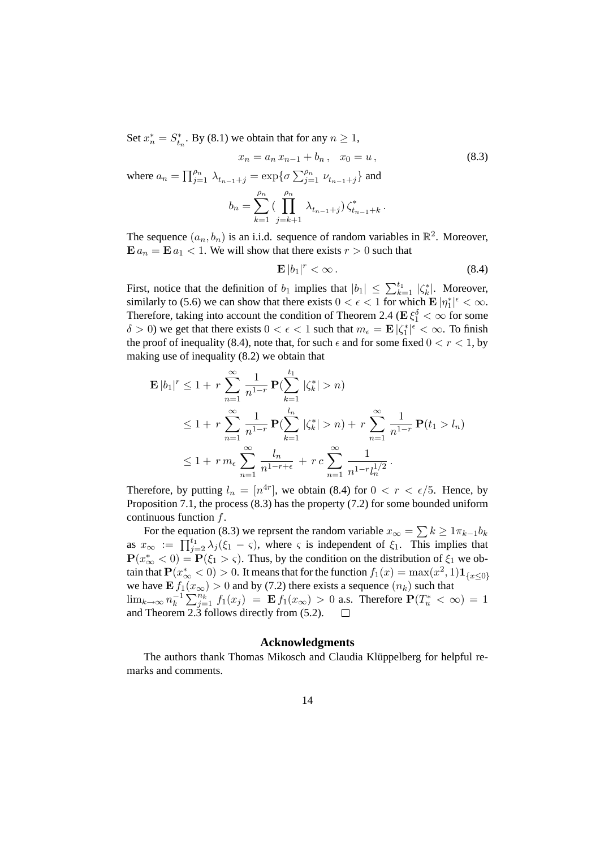Set  $x_n^* = S_{t_n}^*$ . By (8.1) we obtain that for any  $n \ge 1$ ,

$$
x_n = a_n x_{n-1} + b_n, \quad x_0 = u,
$$
\n(8.3)

\n
$$
\text{where } a_n = \prod_{j=1}^{\rho_n} \lambda_{t_{n-1}+j} = \exp\{\sigma \sum_{j=1}^{\rho_n} \nu_{t_{n-1}+j}\} \text{ and }
$$
\n
$$
b_n = \sum_{k=1}^{\rho_n} \left(\prod_{j=k+1}^{\rho_n} \lambda_{t_{n-1}+j}\right) \zeta_{t_{n-1}+k}^*.
$$

The sequence  $(a_n, b_n)$  is an i.i.d. sequence of random variables in  $\mathbb{R}^2$ . Moreover,  $\mathbf{E} a_n = \mathbf{E} a_1 < 1$ . We will show that there exists  $r > 0$  such that

$$
\mathbf{E}\left|b_1\right|^r < \infty\,. \tag{8.4}
$$

First, notice that the definition of  $b_1$  implies that  $|b_1| \leq \sum_{k=1}^{t_1} |\zeta_k^*|$ . Moreover, similarly to (5.6) we can show that there exists  $0 < \epsilon < 1$  for which  $\mathbf{E} |\eta_1^*| \leq \infty$ . Therefore, taking into account the condition of Theorem 2.4 ( $\mathbf{E}\xi_1^{\delta} < \infty$  for some  $\delta > 0$ ) we get that there exists  $0 < \epsilon < 1$  such that  $m_{\epsilon} = \mathbf{E} |\zeta_1^*|^{\epsilon} < \infty$ . To finish the proof of inequality (8.4), note that, for such  $\epsilon$  and for some fixed  $0 < r < 1$ , by making use of inequality (8.2) we obtain that

$$
\mathbf{E} |b_1|^r \le 1 + r \sum_{n=1}^{\infty} \frac{1}{n^{1-r}} \mathbf{P}(\sum_{k=1}^{t_1} |\zeta_k^*| > n)
$$
  
\n
$$
\le 1 + r \sum_{n=1}^{\infty} \frac{1}{n^{1-r}} \mathbf{P}(\sum_{k=1}^{l_n} |\zeta_k^*| > n) + r \sum_{n=1}^{\infty} \frac{1}{n^{1-r}} \mathbf{P}(t_1 > l_n)
$$
  
\n
$$
\le 1 + r m_{\epsilon} \sum_{n=1}^{\infty} \frac{l_n}{n^{1-r+\epsilon}} + r c \sum_{n=1}^{\infty} \frac{1}{n^{1-r} l_n^{1/2}}.
$$

Therefore, by putting  $l_n = [n^{4r}]$ , we obtain (8.4) for  $0 < r < \epsilon/5$ . Hence, by Proposition 7.1, the process (8.3) has the property (7.2) for some bounded uniform continuous function  $f$ .

For the equation (8.3) we reprsent the random variable  $x_{\infty} = \sum k \ge 1 \pi_{k-1} b_k$ as  $x_{\infty} := \prod_{j=2}^{t_1} \lambda_j (\xi_1 - \zeta)$ , where  $\zeta$  is independent of  $\xi_1$ . This implies that  $\mathbf{P}(x_{\infty}^* < 0) = \mathbf{P}(\xi_1 > \varsigma)$ . Thus, by the condition on the distribution of  $\xi_1$  we obtain that  $\mathbf{P}(x_\infty^* < 0) > 0.$  It means that for the function  $f_1(x) = \max(x^2,1) \mathbf{1}_{\{x\leq 0\}}$ we have  $\mathbf{E} f_1(x_\infty) > 0$  and by (7.2) there exists a sequence  $(n_k)$  such that  $\lim_{k\to\infty} n_k^{-1}$  $\sum_{k=1}^{n} \sum_{j=1}^{n_k} f_1(x_j) = \mathbf{E} f_1(x_{\infty}) > 0$  a.s. Therefore  $\mathbf{P}(T_u^* < \infty) = 1$ and Theorem 2.3 follows directly from (5.2).

#### **Acknowledgments**

The authors thank Thomas Mikosch and Claudia Klüppelberg for helpful remarks and comments.